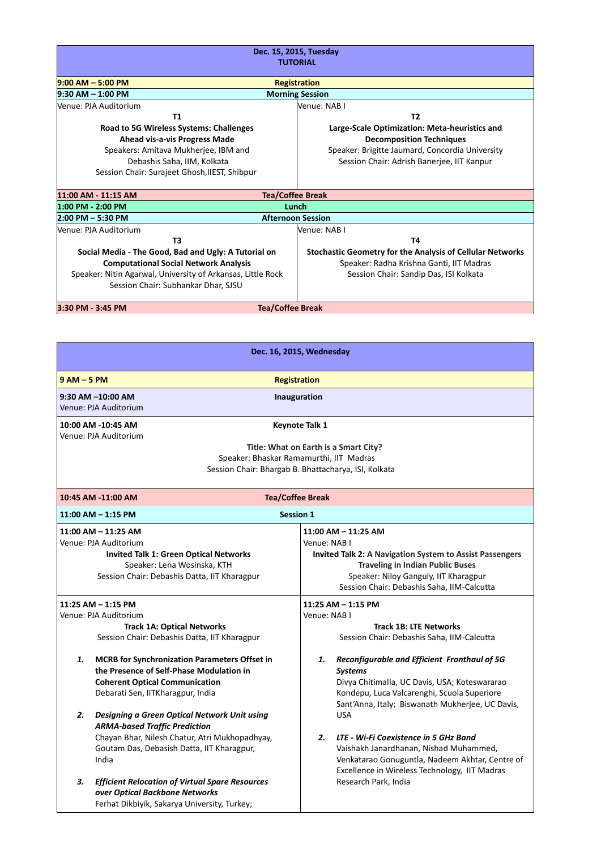| Dec. 15, 2015, Tuesday<br><b>TUTORIAL</b>                   |                                                                  |  |
|-------------------------------------------------------------|------------------------------------------------------------------|--|
| $9:00$ AM $-$ 5:00 PM                                       | <b>Registration</b>                                              |  |
| 9:30 AM - 1:00 PM                                           | <b>Morning Session</b>                                           |  |
| Venue: PJA Auditorium                                       | Venue: NAB I                                                     |  |
| T1                                                          | T <sub>2</sub>                                                   |  |
| Road to 5G Wireless Systems: Challenges                     | Large-Scale Optimization: Meta-heuristics and                    |  |
| Ahead vis-a-vis Progress Made                               | <b>Decomposition Techniques</b>                                  |  |
| Speakers: Amitava Mukherjee, IBM and                        | Speaker: Brigitte Jaumard, Concordia University                  |  |
| Debashis Saha, IIM, Kolkata                                 | Session Chair: Adrish Banerjee, IIT Kanpur                       |  |
| Session Chair: Surajeet Ghosh, IIEST, Shibpur               |                                                                  |  |
| 11:00 AM - 11:15 AM<br><b>Tea/Coffee Break</b>              |                                                                  |  |
| 1:00 PM - 2:00 PM                                           | Lunch                                                            |  |
| $2:00$ PM $-5:30$ PM                                        | <b>Afternoon Session</b>                                         |  |
| Venue: PJA Auditorium                                       | Venue: NAB I                                                     |  |
| T <sub>3</sub>                                              | Т4                                                               |  |
| Social Media - The Good, Bad and Ugly: A Tutorial on        | <b>Stochastic Geometry for the Analysis of Cellular Networks</b> |  |
| <b>Computational Social Network Analysis</b>                | Speaker: Radha Krishna Ganti, IIT Madras                         |  |
| Speaker: Nitin Agarwal, University of Arkansas, Little Rock | Session Chair: Sandip Das, ISI Kolkata                           |  |
| Session Chair: Subhankar Dhar, SJSU                         |                                                                  |  |
| 3:30 PM - 3:45 PM<br><b>Tea/Coffee Break</b>                |                                                                  |  |

| Dec. 16, 2015, Wednesday                                                                                                                                                                                         |                                                                                                                                                                                                                                              |  |  |
|------------------------------------------------------------------------------------------------------------------------------------------------------------------------------------------------------------------|----------------------------------------------------------------------------------------------------------------------------------------------------------------------------------------------------------------------------------------------|--|--|
| $9AM - 5PM$                                                                                                                                                                                                      | <b>Registration</b>                                                                                                                                                                                                                          |  |  |
| 9:30 AM -10:00 AM<br>Venue: PJA Auditorium                                                                                                                                                                       | Inauguration                                                                                                                                                                                                                                 |  |  |
| 10:00 AM -10:45 AM<br><b>Keynote Talk 1</b><br>Venue: PJA Auditorium<br>Title: What on Earth is a Smart City?<br>Speaker: Bhaskar Ramamurthi, IIT Madras<br>Session Chair: Bhargab B. Bhattacharya, ISI, Kolkata |                                                                                                                                                                                                                                              |  |  |
|                                                                                                                                                                                                                  |                                                                                                                                                                                                                                              |  |  |
| 10:45 AM -11:00 AM<br><b>Tea/Coffee Break</b>                                                                                                                                                                    |                                                                                                                                                                                                                                              |  |  |
| $11:00$ AM $- 1:15$ PM                                                                                                                                                                                           | <b>Session 1</b>                                                                                                                                                                                                                             |  |  |
| $11:00$ AM $- 11:25$ AM<br>Venue: PJA Auditorium<br><b>Invited Talk 1: Green Optical Networks</b><br>Speaker: Lena Wosinska, KTH<br>Session Chair: Debashis Datta, IIT Kharagpur                                 | $11:00$ AM $- 11:25$ AM<br>Venue: NAB I<br><b>Invited Talk 2: A Navigation System to Assist Passengers</b><br><b>Traveling in Indian Public Buses</b><br>Speaker: Niloy Ganguly, IIT Kharagpur<br>Session Chair: Debashis Saha, IIM-Calcutta |  |  |
| 11:25 AM - 1:15 PM<br>11:25 AM - 1:15 PM                                                                                                                                                                         |                                                                                                                                                                                                                                              |  |  |
| Venue: PJA Auditorium                                                                                                                                                                                            | Venue: NAB I                                                                                                                                                                                                                                 |  |  |
| <b>Track 1A: Optical Networks</b><br>Session Chair: Debashis Datta, IIT Kharagpur                                                                                                                                | <b>Track 1B: LTE Networks</b><br>Session Chair: Debashis Saha, IIM-Calcutta                                                                                                                                                                  |  |  |
| <b>MCRB</b> for Synchronization Parameters Offset in<br>1.<br>the Presence of Self-Phase Modulation in<br><b>Coherent Optical Communication</b><br>Debarati Sen, IITKharagpur, India                             | Reconfigurable and Efficient Fronthaul of 5G<br>1.<br><b>Systems</b><br>Divya Chitimalla, UC Davis, USA; Koteswararao<br>Kondepu, Luca Valcarenghi, Scuola Superiore<br>Sant'Anna, Italy; Biswanath Mukherjee, UC Davis,                     |  |  |
| 2.<br>Designing a Green Optical Network Unit using<br><b>ARMA-based Traffic Prediction</b><br>Chayan Bhar, Nilesh Chatur, Atri Mukhopadhyay,<br>Goutam Das, Debasish Datta, IIT Kharagpur,<br>India              | <b>USA</b><br>2.<br>LTE - Wi-Fi Coexistence in 5 GHz Band<br>Vaishakh Janardhanan, Nishad Muhammed,<br>Venkatarao Gonuguntla, Nadeem Akhtar, Centre of<br>Excellence in Wireless Technology, IIT Madras                                      |  |  |
| З.<br><b>Efficient Relocation of Virtual Spare Resources</b><br>over Optical Backbone Networks<br>Ferhat Dikbiyik, Sakarya University, Turkey;                                                                   | Research Park, India                                                                                                                                                                                                                         |  |  |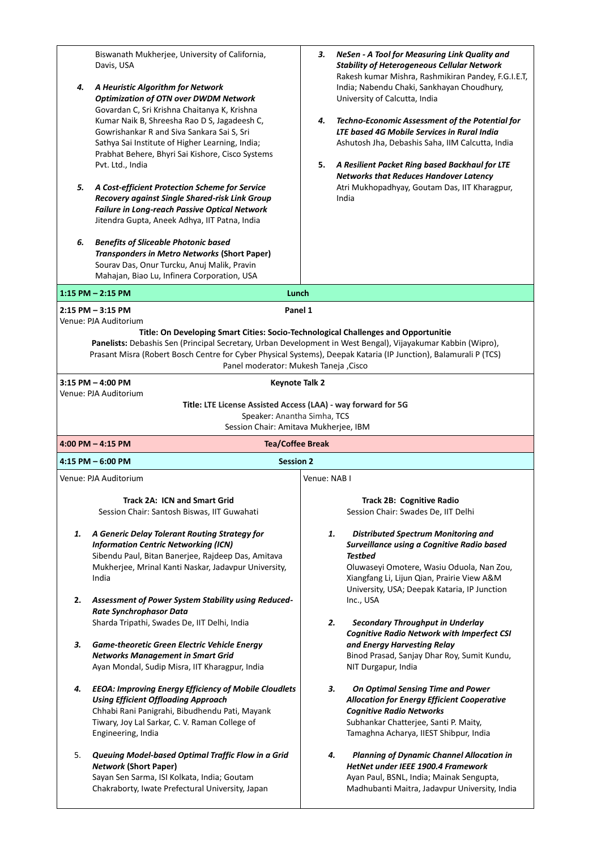| 4.<br>5.<br>6. | Biswanath Mukherjee, University of California,<br>Davis, USA<br>A Heuristic Algorithm for Network<br><b>Optimization of OTN over DWDM Network</b><br>Govardan C, Sri Krishna Chaitanya K, Krishna<br>Kumar Naik B, Shreesha Rao D S, Jagadeesh C,<br>Gowrishankar R and Siva Sankara Sai S, Sri<br>Sathya Sai Institute of Higher Learning, India;<br>Prabhat Behere, Bhyri Sai Kishore, Cisco Systems<br>Pvt. Ltd., India<br>A Cost-efficient Protection Scheme for Service<br>Recovery against Single Shared-risk Link Group<br>Failure in Long-reach Passive Optical Network<br>Jitendra Gupta, Aneek Adhya, IIT Patna, India<br><b>Benefits of Sliceable Photonic based</b><br>Transponders in Metro Networks (Short Paper)<br>Sourav Das, Onur Turcku, Anuj Malik, Pravin<br>Mahajan, Biao Lu, Infinera Corporation, USA | NeSen - A Tool for Measuring Link Quality and<br>3.<br><b>Stability of Heterogeneous Cellular Network</b><br>Rakesh kumar Mishra, Rashmikiran Pandey, F.G.I.E.T,<br>India; Nabendu Chaki, Sankhayan Choudhury,<br>University of Calcutta, India<br>4.<br>Techno-Economic Assessment of the Potential for<br>LTE based 4G Mobile Services in Rural India<br>Ashutosh Jha, Debashis Saha, IIM Calcutta, India<br>5.<br>A Resilient Packet Ring based Backhaul for LTE<br><b>Networks that Reduces Handover Latency</b><br>Atri Mukhopadhyay, Goutam Das, IIT Kharagpur,<br>India |
|----------------|-------------------------------------------------------------------------------------------------------------------------------------------------------------------------------------------------------------------------------------------------------------------------------------------------------------------------------------------------------------------------------------------------------------------------------------------------------------------------------------------------------------------------------------------------------------------------------------------------------------------------------------------------------------------------------------------------------------------------------------------------------------------------------------------------------------------------------|--------------------------------------------------------------------------------------------------------------------------------------------------------------------------------------------------------------------------------------------------------------------------------------------------------------------------------------------------------------------------------------------------------------------------------------------------------------------------------------------------------------------------------------------------------------------------------|
|                |                                                                                                                                                                                                                                                                                                                                                                                                                                                                                                                                                                                                                                                                                                                                                                                                                               |                                                                                                                                                                                                                                                                                                                                                                                                                                                                                                                                                                                |
|                | Lunch<br>$1:15$ PM $- 2:15$ PM                                                                                                                                                                                                                                                                                                                                                                                                                                                                                                                                                                                                                                                                                                                                                                                                |                                                                                                                                                                                                                                                                                                                                                                                                                                                                                                                                                                                |
|                | Panel 1<br>$2:15$ PM $-3:15$ PM<br>Venue: PJA Auditorium<br>Title: On Developing Smart Cities: Socio-Technological Challenges and Opportunitie<br>Panelists: Debashis Sen (Principal Secretary, Urban Development in West Bengal), Vijayakumar Kabbin (Wipro),<br>Prasant Misra (Robert Bosch Centre for Cyber Physical Systems), Deepak Kataria (IP Junction), Balamurali P (TCS)<br>Panel moderator: Mukesh Taneja , Cisco<br>$3:15$ PM $-$ 4:00 PM<br><b>Keynote Talk 2</b>                                                                                                                                                                                                                                                                                                                                                |                                                                                                                                                                                                                                                                                                                                                                                                                                                                                                                                                                                |
|                | Venue: PJA Auditorium                                                                                                                                                                                                                                                                                                                                                                                                                                                                                                                                                                                                                                                                                                                                                                                                         |                                                                                                                                                                                                                                                                                                                                                                                                                                                                                                                                                                                |
|                | Title: LTE License Assisted Access (LAA) - way forward for 5G<br>Speaker: Anantha Simha, TCS                                                                                                                                                                                                                                                                                                                                                                                                                                                                                                                                                                                                                                                                                                                                  |                                                                                                                                                                                                                                                                                                                                                                                                                                                                                                                                                                                |
|                | Session Chair: Amitava Mukherjee, IBM                                                                                                                                                                                                                                                                                                                                                                                                                                                                                                                                                                                                                                                                                                                                                                                         |                                                                                                                                                                                                                                                                                                                                                                                                                                                                                                                                                                                |
|                | 4:00 PM $-$ 4:15 PM<br><b>Tea/Coffee Break</b>                                                                                                                                                                                                                                                                                                                                                                                                                                                                                                                                                                                                                                                                                                                                                                                |                                                                                                                                                                                                                                                                                                                                                                                                                                                                                                                                                                                |
|                | $4:15$ PM $-6:00$ PM<br><b>Session 2</b>                                                                                                                                                                                                                                                                                                                                                                                                                                                                                                                                                                                                                                                                                                                                                                                      |                                                                                                                                                                                                                                                                                                                                                                                                                                                                                                                                                                                |
|                | Venue: PJA Auditorium                                                                                                                                                                                                                                                                                                                                                                                                                                                                                                                                                                                                                                                                                                                                                                                                         | Venue: NAB I                                                                                                                                                                                                                                                                                                                                                                                                                                                                                                                                                                   |
| 1.<br>2.       | <b>Track 2A: ICN and Smart Grid</b><br>Session Chair: Santosh Biswas, IIT Guwahati<br>A Generic Delay Tolerant Routing Strategy for<br><b>Information Centric Networking (ICN)</b><br>Sibendu Paul, Bitan Banerjee, Rajdeep Das, Amitava<br>Mukherjee, Mrinal Kanti Naskar, Jadavpur University,<br>India<br>Assessment of Power System Stability using Reduced-                                                                                                                                                                                                                                                                                                                                                                                                                                                              | Track 2B: Cognitive Radio<br>Session Chair: Swades De, IIT Delhi<br><b>Distributed Spectrum Monitoring and</b><br>1.<br>Surveillance using a Cognitive Radio based<br>Testbed<br>Oluwaseyi Omotere, Wasiu Oduola, Nan Zou,<br>Xiangfang Li, Lijun Qian, Prairie View A&M<br>University, USA; Deepak Kataria, IP Junction<br>Inc., USA                                                                                                                                                                                                                                          |
|                | Rate Synchrophasor Data<br>Sharda Tripathi, Swades De, IIT Delhi, India                                                                                                                                                                                                                                                                                                                                                                                                                                                                                                                                                                                                                                                                                                                                                       | 2.<br><b>Secondary Throughput in Underlay</b><br><b>Cognitive Radio Network with Imperfect CSI</b>                                                                                                                                                                                                                                                                                                                                                                                                                                                                             |
| З.             | <b>Game-theoretic Green Electric Vehicle Energy</b><br><b>Networks Management in Smart Grid</b><br>Ayan Mondal, Sudip Misra, IIT Kharagpur, India                                                                                                                                                                                                                                                                                                                                                                                                                                                                                                                                                                                                                                                                             | and Energy Harvesting Relay<br>Binod Prasad, Sanjay Dhar Roy, Sumit Kundu,<br>NIT Durgapur, India                                                                                                                                                                                                                                                                                                                                                                                                                                                                              |
| 4.             | <b>EEOA: Improving Energy Efficiency of Mobile Cloudlets</b><br><b>Using Efficient Offloading Approach</b><br>Chhabi Rani Panigrahi, Bibudhendu Pati, Mayank<br>Tiwary, Joy Lal Sarkar, C. V. Raman College of<br>Engineering, India                                                                                                                                                                                                                                                                                                                                                                                                                                                                                                                                                                                          | 3.<br>On Optimal Sensing Time and Power<br><b>Allocation for Energy Efficient Cooperative</b><br><b>Cognitive Radio Networks</b><br>Subhankar Chatterjee, Santi P. Maity,<br>Tamaghna Acharya, IIEST Shibpur, India                                                                                                                                                                                                                                                                                                                                                            |
| 5.             | Queuing Model-based Optimal Traffic Flow in a Grid<br><b>Network (Short Paper)</b><br>Sayan Sen Sarma, ISI Kolkata, India; Goutam<br>Chakraborty, Iwate Prefectural University, Japan                                                                                                                                                                                                                                                                                                                                                                                                                                                                                                                                                                                                                                         | 4.<br><b>Planning of Dynamic Channel Allocation in</b><br>HetNet under IEEE 1900.4 Framework<br>Ayan Paul, BSNL, India; Mainak Sengupta,<br>Madhubanti Maitra, Jadavpur University, India                                                                                                                                                                                                                                                                                                                                                                                      |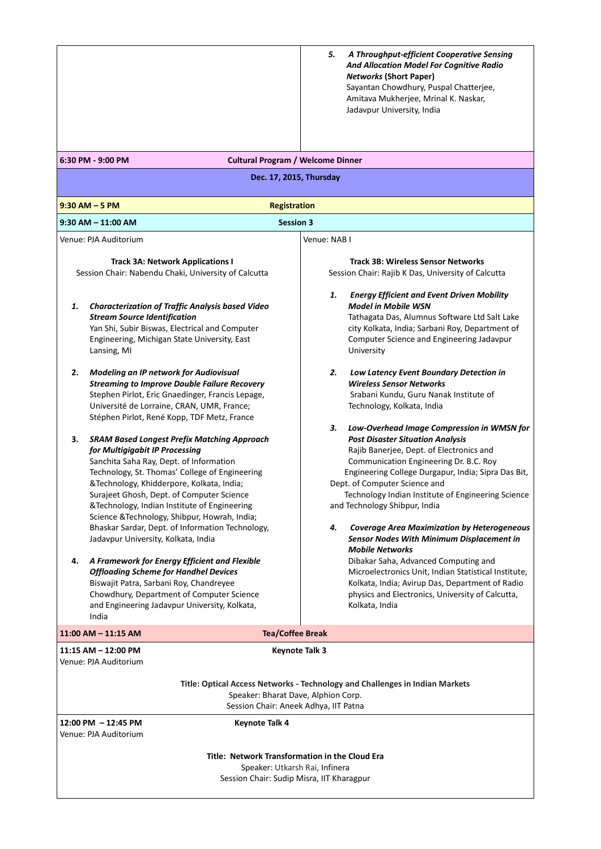|                                                                                                                                                                                                                                                                                                                                                                                    | A Throughput-efficient Cooperative Sensing<br>5.<br><b>And Allocation Model For Cognitive Radio</b><br><b>Networks (Short Paper)</b><br>Sayantan Chowdhury, Puspal Chatterjee,<br>Amitava Mukherjee, Mrinal K. Naskar,<br>Jadavpur University, India                                                                                     |  |
|------------------------------------------------------------------------------------------------------------------------------------------------------------------------------------------------------------------------------------------------------------------------------------------------------------------------------------------------------------------------------------|------------------------------------------------------------------------------------------------------------------------------------------------------------------------------------------------------------------------------------------------------------------------------------------------------------------------------------------|--|
| 6:30 PM - 9:00 PM<br><b>Cultural Program / Welcome Dinner</b>                                                                                                                                                                                                                                                                                                                      |                                                                                                                                                                                                                                                                                                                                          |  |
| Dec. 17, 2015, Thursday                                                                                                                                                                                                                                                                                                                                                            |                                                                                                                                                                                                                                                                                                                                          |  |
| $9:30$ AM $-5$ PM<br><b>Registration</b>                                                                                                                                                                                                                                                                                                                                           |                                                                                                                                                                                                                                                                                                                                          |  |
| <b>Session 3</b><br>$9:30$ AM $- 11:00$ AM                                                                                                                                                                                                                                                                                                                                         |                                                                                                                                                                                                                                                                                                                                          |  |
| Venue: PJA Auditorium                                                                                                                                                                                                                                                                                                                                                              | Venue: NAB I                                                                                                                                                                                                                                                                                                                             |  |
| <b>Track 3A: Network Applications I</b><br>Session Chair: Nabendu Chaki, University of Calcutta                                                                                                                                                                                                                                                                                    | <b>Track 3B: Wireless Sensor Networks</b><br>Session Chair: Rajib K Das, University of Calcutta                                                                                                                                                                                                                                          |  |
| <b>Characterization of Traffic Analysis based Video</b><br>1.<br><b>Stream Source Identification</b><br>Yan Shi, Subir Biswas, Electrical and Computer<br>Engineering, Michigan State University, East<br>Lansing, MI<br>2.<br>Modeling an IP network for Audiovisual                                                                                                              | <b>Energy Efficient and Event Driven Mobility</b><br>1.<br><b>Model in Mobile WSN</b><br>Tathagata Das, Alumnus Software Ltd Salt Lake<br>city Kolkata, India; Sarbani Roy, Department of<br>Computer Science and Engineering Jadavpur<br>University<br>2.<br>Low Latency Event Boundary Detection in<br><b>Wireless Sensor Networks</b> |  |
| <b>Streaming to Improve Double Failure Recovery</b><br>Stephen Pirlot, Eric Gnaedinger, Francis Lepage,<br>Université de Lorraine, CRAN, UMR, France;<br>Stéphen Pirlot, René Kopp, TDF Metz, France                                                                                                                                                                               | Srabani Kundu, Guru Nanak Institute of<br>Technology, Kolkata, India<br>Low-Overhead Image Compression in WMSN for<br>3.                                                                                                                                                                                                                 |  |
| з.<br><b>SRAM Based Longest Prefix Matching Approach</b><br>for Multigigabit IP Processing<br>Sanchita Saha Ray, Dept. of Information<br>Technology, St. Thomas' College of Engineering<br>&Technology, Khidderpore, Kolkata, India;<br>Surajeet Ghosh, Dept. of Computer Science<br>&Technology, Indian Institute of Engineering<br>Science & Technology, Shibpur, Howrah, India; | <b>Post Disaster Situation Analysis</b><br>Rajib Banerjee, Dept. of Electronics and<br>Communication Engineering Dr. B.C. Roy<br>Engineering College Durgapur, India; Sipra Das Bit,<br>Dept. of Computer Science and<br>Technology Indian Institute of Engineering Science<br>and Technology Shibpur, India                             |  |
| Bhaskar Sardar, Dept. of Information Technology,<br>Jadavpur University, Kolkata, India                                                                                                                                                                                                                                                                                            | <b>Coverage Area Maximization by Heterogeneous</b><br>4.<br>Sensor Nodes With Minimum Displacement in<br><b>Mobile Networks</b>                                                                                                                                                                                                          |  |
| A Framework for Energy Efficient and Flexible<br>4.<br><b>Offloading Scheme for Handhel Devices</b><br>Biswajit Patra, Sarbani Roy, Chandreyee<br>Chowdhury, Department of Computer Science<br>and Engineering Jadavpur University, Kolkata,<br>India                                                                                                                              | Dibakar Saha, Advanced Computing and<br>Microelectronics Unit, Indian Statistical Institute,<br>Kolkata, India; Avirup Das, Department of Radio<br>physics and Electronics, University of Calcutta,<br>Kolkata, India                                                                                                                    |  |
| 11:00 AM - 11:15 AM<br><b>Tea/Coffee Break</b>                                                                                                                                                                                                                                                                                                                                     |                                                                                                                                                                                                                                                                                                                                          |  |
| 11:15 AM - 12:00 PM<br>Venue: PJA Auditorium                                                                                                                                                                                                                                                                                                                                       | Keynote Talk 3                                                                                                                                                                                                                                                                                                                           |  |
| Title: Optical Access Networks - Technology and Challenges in Indian Markets<br>Speaker: Bharat Dave, Alphion Corp.<br>Session Chair: Aneek Adhya, IIT Patna                                                                                                                                                                                                                       |                                                                                                                                                                                                                                                                                                                                          |  |
| 12:00 PM - 12:45 PM<br><b>Keynote Talk 4</b><br>Venue: PJA Auditorium                                                                                                                                                                                                                                                                                                              |                                                                                                                                                                                                                                                                                                                                          |  |
| Title: Network Transformation in the Cloud Era<br>Speaker: Utkarsh Rai, Infinera<br>Session Chair: Sudip Misra, IIT Kharagpur                                                                                                                                                                                                                                                      |                                                                                                                                                                                                                                                                                                                                          |  |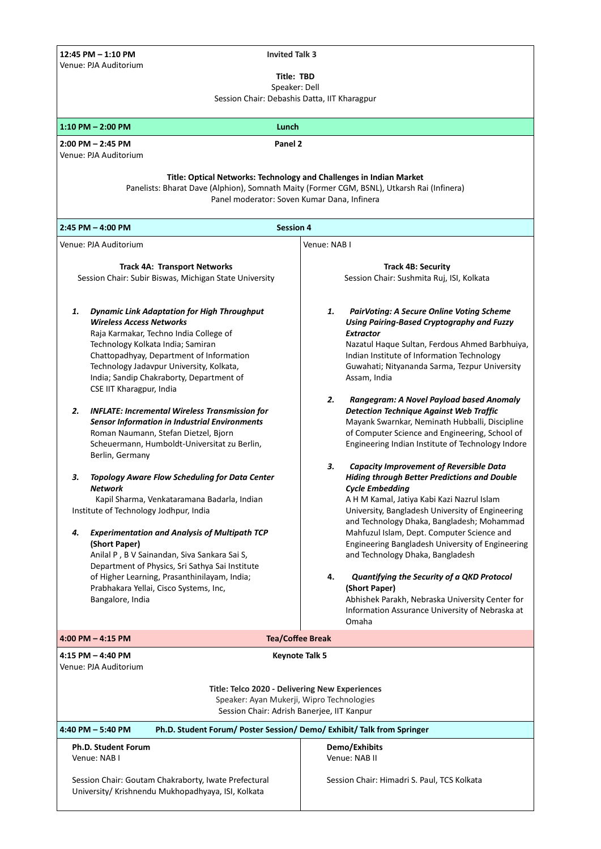**12:45 PM – 1:10 PM Invited Talk 3**  Venue: PJA Auditorium

**Title: TBD**

Speaker: Dell

| Session Chair: Debashis Datta, IIT Kharagpur                                                                                                                                                                                                                                                                                                                                                                                                                                                                                                                                                                                                                                                                                                                                                                                                                                                                                                                                                                                                           |                                                                                                                                                                                                                                                                                                                                                                                                                                                                                                                                                                                                                                                                                                                                                                                                                                                                                                                                                                                                                                                                                                                                                                           |  |  |  |
|--------------------------------------------------------------------------------------------------------------------------------------------------------------------------------------------------------------------------------------------------------------------------------------------------------------------------------------------------------------------------------------------------------------------------------------------------------------------------------------------------------------------------------------------------------------------------------------------------------------------------------------------------------------------------------------------------------------------------------------------------------------------------------------------------------------------------------------------------------------------------------------------------------------------------------------------------------------------------------------------------------------------------------------------------------|---------------------------------------------------------------------------------------------------------------------------------------------------------------------------------------------------------------------------------------------------------------------------------------------------------------------------------------------------------------------------------------------------------------------------------------------------------------------------------------------------------------------------------------------------------------------------------------------------------------------------------------------------------------------------------------------------------------------------------------------------------------------------------------------------------------------------------------------------------------------------------------------------------------------------------------------------------------------------------------------------------------------------------------------------------------------------------------------------------------------------------------------------------------------------|--|--|--|
| $1:10$ PM $- 2:00$ PM<br>Lunch                                                                                                                                                                                                                                                                                                                                                                                                                                                                                                                                                                                                                                                                                                                                                                                                                                                                                                                                                                                                                         |                                                                                                                                                                                                                                                                                                                                                                                                                                                                                                                                                                                                                                                                                                                                                                                                                                                                                                                                                                                                                                                                                                                                                                           |  |  |  |
| Panel 2<br>$2:00$ PM $- 2:45$ PM<br>Venue: PJA Auditorium                                                                                                                                                                                                                                                                                                                                                                                                                                                                                                                                                                                                                                                                                                                                                                                                                                                                                                                                                                                              |                                                                                                                                                                                                                                                                                                                                                                                                                                                                                                                                                                                                                                                                                                                                                                                                                                                                                                                                                                                                                                                                                                                                                                           |  |  |  |
| Title: Optical Networks: Technology and Challenges in Indian Market<br>Panelists: Bharat Dave (Alphion), Somnath Maity (Former CGM, BSNL), Utkarsh Rai (Infinera)<br>Panel moderator: Soven Kumar Dana, Infinera                                                                                                                                                                                                                                                                                                                                                                                                                                                                                                                                                                                                                                                                                                                                                                                                                                       |                                                                                                                                                                                                                                                                                                                                                                                                                                                                                                                                                                                                                                                                                                                                                                                                                                                                                                                                                                                                                                                                                                                                                                           |  |  |  |
| $2:45$ PM $-$ 4:00 PM<br><b>Session 4</b>                                                                                                                                                                                                                                                                                                                                                                                                                                                                                                                                                                                                                                                                                                                                                                                                                                                                                                                                                                                                              |                                                                                                                                                                                                                                                                                                                                                                                                                                                                                                                                                                                                                                                                                                                                                                                                                                                                                                                                                                                                                                                                                                                                                                           |  |  |  |
| Venue: PJA Auditorium                                                                                                                                                                                                                                                                                                                                                                                                                                                                                                                                                                                                                                                                                                                                                                                                                                                                                                                                                                                                                                  | Venue: NAB I                                                                                                                                                                                                                                                                                                                                                                                                                                                                                                                                                                                                                                                                                                                                                                                                                                                                                                                                                                                                                                                                                                                                                              |  |  |  |
| <b>Track 4A: Transport Networks</b><br>Session Chair: Subir Biswas, Michigan State University                                                                                                                                                                                                                                                                                                                                                                                                                                                                                                                                                                                                                                                                                                                                                                                                                                                                                                                                                          | <b>Track 4B: Security</b><br>Session Chair: Sushmita Ruj, ISI, Kolkata                                                                                                                                                                                                                                                                                                                                                                                                                                                                                                                                                                                                                                                                                                                                                                                                                                                                                                                                                                                                                                                                                                    |  |  |  |
| <b>Dynamic Link Adaptation for High Throughput</b><br>1.<br><b>Wireless Access Networks</b><br>Raja Karmakar, Techno India College of<br>Technology Kolkata India; Samiran<br>Chattopadhyay, Department of Information<br>Technology Jadavpur University, Kolkata,<br>India; Sandip Chakraborty, Department of<br>CSE IIT Kharagpur, India<br>2.<br><b>INFLATE: Incremental Wireless Transmission for</b><br><b>Sensor Information in Industrial Environments</b><br>Roman Naumann, Stefan Dietzel, Bjorn<br>Scheuermann, Humboldt-Universitat zu Berlin,<br>Berlin, Germany<br>З.<br><b>Topology Aware Flow Scheduling for Data Center</b><br><b>Network</b><br>Kapil Sharma, Venkataramana Badarla, Indian<br>Institute of Technology Jodhpur, India<br><b>Experimentation and Analysis of Multipath TCP</b><br>4.<br>(Short Paper)<br>Anilal P, B V Sainandan, Siva Sankara Sai S,<br>Department of Physics, Sri Sathya Sai Institute<br>of Higher Learning, Prasanthinilayam, India;<br>Prabhakara Yellai, Cisco Systems, Inc,<br>Bangalore, India | <b>PairVoting: A Secure Online Voting Scheme</b><br>1.<br>Using Pairing-Based Cryptography and Fuzzy<br><b>Extractor</b><br>Nazatul Haque Sultan, Ferdous Ahmed Barbhuiya,<br>Indian Institute of Information Technology<br>Guwahati; Nityananda Sarma, Tezpur University<br>Assam, India<br>2.<br>Rangegram: A Novel Payload based Anomaly<br><b>Detection Technique Against Web Traffic</b><br>Mayank Swarnkar, Neminath Hubballi, Discipline<br>of Computer Science and Engineering, School of<br>Engineering Indian Institute of Technology Indore<br><b>Capacity Improvement of Reversible Data</b><br>з.<br><b>Hiding through Better Predictions and Double</b><br><b>Cycle Embedding</b><br>A H M Kamal, Jatiya Kabi Kazi Nazrul Islam<br>University, Bangladesh University of Engineering<br>and Technology Dhaka, Bangladesh; Mohammad<br>Mahfuzul Islam, Dept. Computer Science and<br>Engineering Bangladesh University of Engineering<br>and Technology Dhaka, Bangladesh<br>4.<br>Quantifying the Security of a QKD Protocol<br>(Short Paper)<br>Abhishek Parakh, Nebraska University Center for<br>Information Assurance University of Nebraska at<br>Omaha |  |  |  |
| $4:00$ PM $- 4:15$ PM                                                                                                                                                                                                                                                                                                                                                                                                                                                                                                                                                                                                                                                                                                                                                                                                                                                                                                                                                                                                                                  | <b>Tea/Coffee Break</b>                                                                                                                                                                                                                                                                                                                                                                                                                                                                                                                                                                                                                                                                                                                                                                                                                                                                                                                                                                                                                                                                                                                                                   |  |  |  |
| 4:15 PM - 4:40 PM<br>Keynote Talk 5<br>Venue: PJA Auditorium<br>Title: Telco 2020 - Delivering New Experiences                                                                                                                                                                                                                                                                                                                                                                                                                                                                                                                                                                                                                                                                                                                                                                                                                                                                                                                                         |                                                                                                                                                                                                                                                                                                                                                                                                                                                                                                                                                                                                                                                                                                                                                                                                                                                                                                                                                                                                                                                                                                                                                                           |  |  |  |
| Speaker: Ayan Mukerji, Wipro Technologies<br>Session Chair: Adrish Banerjee, IIT Kanpur                                                                                                                                                                                                                                                                                                                                                                                                                                                                                                                                                                                                                                                                                                                                                                                                                                                                                                                                                                |                                                                                                                                                                                                                                                                                                                                                                                                                                                                                                                                                                                                                                                                                                                                                                                                                                                                                                                                                                                                                                                                                                                                                                           |  |  |  |
| Ph.D. Student Forum/ Poster Session/ Demo/ Exhibit/ Talk from Springer<br>4:40 PM - 5:40 PM                                                                                                                                                                                                                                                                                                                                                                                                                                                                                                                                                                                                                                                                                                                                                                                                                                                                                                                                                            |                                                                                                                                                                                                                                                                                                                                                                                                                                                                                                                                                                                                                                                                                                                                                                                                                                                                                                                                                                                                                                                                                                                                                                           |  |  |  |
| Ph.D. Student Forum<br>Venue: NAB I<br>Session Chair: Goutam Chakraborty, Iwate Prefectural                                                                                                                                                                                                                                                                                                                                                                                                                                                                                                                                                                                                                                                                                                                                                                                                                                                                                                                                                            | Demo/Exhibits<br>Venue: NAB II<br>Session Chair: Himadri S. Paul, TCS Kolkata                                                                                                                                                                                                                                                                                                                                                                                                                                                                                                                                                                                                                                                                                                                                                                                                                                                                                                                                                                                                                                                                                             |  |  |  |
| University/ Krishnendu Mukhopadhyaya, ISI, Kolkata                                                                                                                                                                                                                                                                                                                                                                                                                                                                                                                                                                                                                                                                                                                                                                                                                                                                                                                                                                                                     |                                                                                                                                                                                                                                                                                                                                                                                                                                                                                                                                                                                                                                                                                                                                                                                                                                                                                                                                                                                                                                                                                                                                                                           |  |  |  |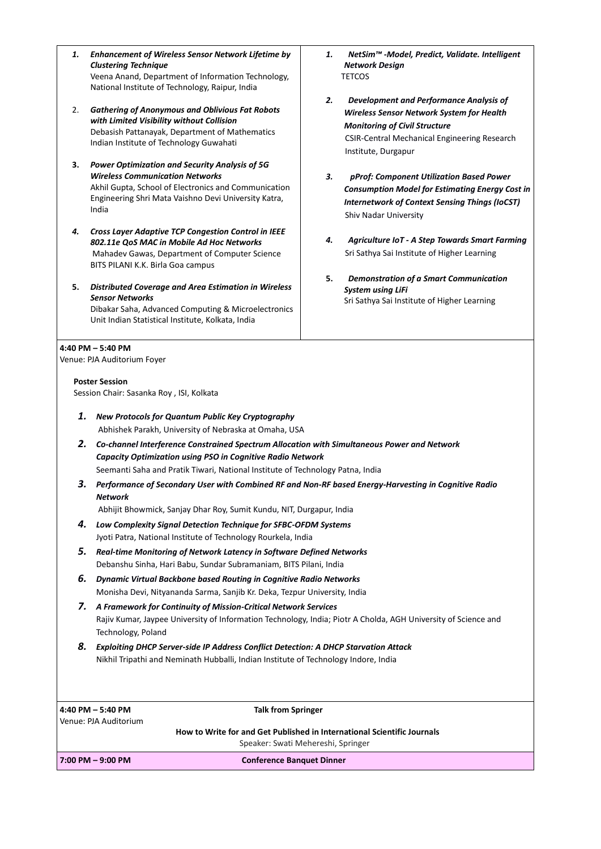- *1. Enhancement of Wireless Sensor Network Lifetime by Clustering Technique*  Veena Anand, Department of Information Technology, National Institute of Technology, Raipur, India 2. *Gathering of Anonymous and Oblivious Fat Robots with Limited Visibility without Collision* Debasish Pattanayak, Department of Mathematics
- **3.** *Power Optimization and Security Analysis of 5G Wireless Communication Networks* Akhil Gupta, School of Electronics and Communication Engineering Shri Mata Vaishno Devi University Katra, India

Indian Institute of Technology Guwahati

- *4. Cross Layer Adaptive TCP Congestion Control in IEEE 802.11e QoS MAC in Mobile Ad Hoc Networks* Mahadev Gawas, Department of Computer Science BITS PILANI K.K. Birla Goa campus
- **5.** *Distributed Coverage and Area Estimation in Wireless Sensor Networks* Dibakar Saha, Advanced Computing & Microelectronics Unit Indian Statistical Institute, Kolkata, India

## **4:40 PM – 5:40 PM**

Venue: PJA Auditorium Foyer

## **Poster Session**

Session Chair: Sasanka Roy , ISI, Kolkata

- *1. New Protocols for Quantum Public Key Cryptography* Abhishek Parakh, University of Nebraska at Omaha, USA
- *2. Co-channel Interference Constrained Spectrum Allocation with Simultaneous Power and Network Capacity Optimization using PSO in Cognitive Radio Network*  Seemanti Saha and Pratik Tiwari, National Institute of Technology Patna, India
- *3. Performance of Secondary User with Combined RF and Non-RF based Energy-Harvesting in Cognitive Radio Network*

Abhijit Bhowmick, Sanjay Dhar Roy, Sumit Kundu, NIT, Durgapur, India

- *4. Low Complexity Signal Detection Technique for SFBC-OFDM Systems*  Jyoti Patra, National Institute of Technology Rourkela, India
- *5. Real-time Monitoring of Network Latency in Software Defined Networks*  Debanshu Sinha, Hari Babu, Sundar Subramaniam, BITS Pilani, India
- *6. Dynamic Virtual Backbone based Routing in Cognitive Radio Networks*  Monisha Devi, Nityananda Sarma, Sanjib Kr. Deka, Tezpur University, India
- *7. A Framework for Continuity of Mission-Critical Network Services*  Rajiv Kumar, Jaypee University of Information Technology, India; Piotr A Cholda, AGH University of Science and Technology, Poland
- *8. Exploiting DHCP Server-side IP Address Conflict Detection: A DHCP Starvation Attack* Nikhil Tripathi and Neminath Hubballi, Indian Institute of Technology Indore, India

**4:40 PM – 5:40 PM Talk from Springer**  Venue: PJA Auditorium

 **How to Write for and Get Published in International Scientific Journals** Speaker: Swati Mehereshi, Springer

**7:00 PM – 9:00 PM Conference Banquet Dinner**

- *1. NetSim™ -Model, Predict, Validate. Intelligent Network Design* **TETCOS**
- *2. Development and Performance Analysis of Wireless Sensor Network System for Health Monitoring of Civil Structure* CSIR-Central Mechanical Engineering Research Institute, Durgapur
- *3. pProf: Component Utilization Based Power Consumption Model for Estimating Energy Cost in Internetwork of Context Sensing Things (IoCST)*  Shiv Nadar University
- *4.**Agriculture IoT - A Step Towards Smart Farming* Sri Sathya Sai Institute of Higher Learning
- **5.** *Demonstration of a Smart Communication System using LiFi* Sri Sathya Sai Institute of Higher Learning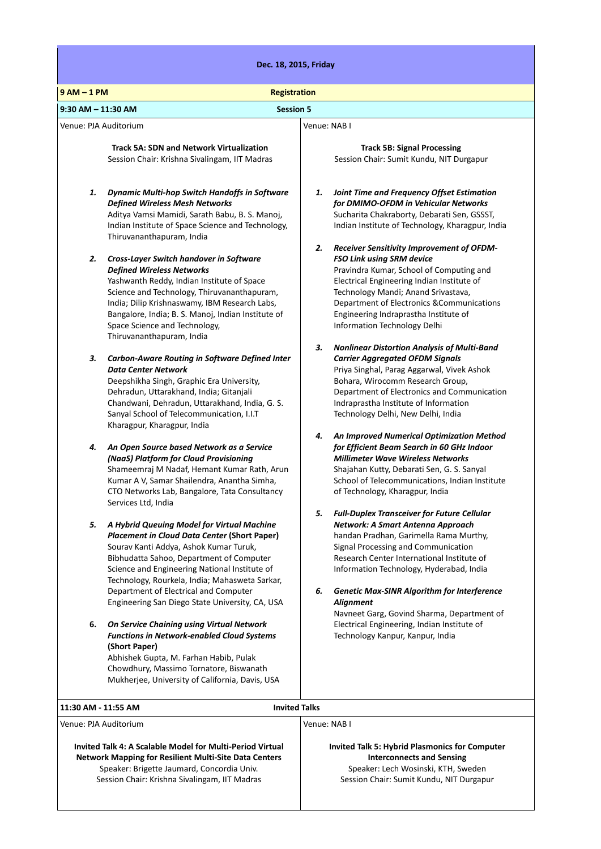| Dec. 18, 2015, Friday                                                                                                                                                                                                                                                                                                                                                                        |                                                                                                                                                                                                                                                                                                                                                                                                        |  |
|----------------------------------------------------------------------------------------------------------------------------------------------------------------------------------------------------------------------------------------------------------------------------------------------------------------------------------------------------------------------------------------------|--------------------------------------------------------------------------------------------------------------------------------------------------------------------------------------------------------------------------------------------------------------------------------------------------------------------------------------------------------------------------------------------------------|--|
| $9AM - 1PM$<br><b>Registration</b>                                                                                                                                                                                                                                                                                                                                                           |                                                                                                                                                                                                                                                                                                                                                                                                        |  |
| $9:30$ AM $- 11:30$ AM<br><b>Session 5</b>                                                                                                                                                                                                                                                                                                                                                   |                                                                                                                                                                                                                                                                                                                                                                                                        |  |
|                                                                                                                                                                                                                                                                                                                                                                                              |                                                                                                                                                                                                                                                                                                                                                                                                        |  |
| Venue: PJA Auditorium                                                                                                                                                                                                                                                                                                                                                                        | Venue: NAB I                                                                                                                                                                                                                                                                                                                                                                                           |  |
| <b>Track 5A: SDN and Network Virtualization</b><br>Session Chair: Krishna Sivalingam, IIT Madras                                                                                                                                                                                                                                                                                             | <b>Track 5B: Signal Processing</b><br>Session Chair: Sumit Kundu, NIT Durgapur                                                                                                                                                                                                                                                                                                                         |  |
| 1.<br><b>Dynamic Multi-hop Switch Handoffs in Software</b><br><b>Defined Wireless Mesh Networks</b><br>Aditya Vamsi Mamidi, Sarath Babu, B. S. Manoj,<br>Indian Institute of Space Science and Technology,<br>Thiruvananthapuram, India                                                                                                                                                      | Joint Time and Frequency Offset Estimation<br>1.<br>for DMIMO-OFDM in Vehicular Networks<br>Sucharita Chakraborty, Debarati Sen, GSSST,<br>Indian Institute of Technology, Kharagpur, India                                                                                                                                                                                                            |  |
| 2.<br>Cross-Layer Switch handover in Software<br><b>Defined Wireless Networks</b><br>Yashwanth Reddy, Indian Institute of Space<br>Science and Technology, Thiruvananthapuram,<br>India; Dilip Krishnaswamy, IBM Research Labs,<br>Bangalore, India; B. S. Manoj, Indian Institute of<br>Space Science and Technology,<br>Thiruvananthapuram, India                                          | 2.<br>Receiver Sensitivity Improvement of OFDM-<br>FSO Link using SRM device<br>Pravindra Kumar, School of Computing and<br>Electrical Engineering Indian Institute of<br>Technology Mandi; Anand Srivastava,<br>Department of Electronics & Communications<br>Engineering Indraprastha Institute of<br>Information Technology Delhi                                                                   |  |
| з.<br>Carbon-Aware Routing in Software Defined Inter<br><b>Data Center Network</b><br>Deepshikha Singh, Graphic Era University,<br>Dehradun, Uttarakhand, India; Gitanjali<br>Chandwani, Dehradun, Uttarakhand, India, G. S.<br>Sanyal School of Telecommunication, I.I.T<br>Kharagpur, Kharagpur, India                                                                                     | З.<br><b>Nonlinear Distortion Analysis of Multi-Band</b><br><b>Carrier Aggregated OFDM Signals</b><br>Priya Singhal, Parag Aggarwal, Vivek Ashok<br>Bohara, Wirocomm Research Group,<br>Department of Electronics and Communication<br>Indraprastha Institute of Information<br>Technology Delhi, New Delhi, India                                                                                     |  |
| 4.<br>An Open Source based Network as a Service<br>(NaaS) Platform for Cloud Provisioning<br>Shameemraj M Nadaf, Hemant Kumar Rath, Arun<br>Kumar A V, Samar Shailendra, Anantha Simha,<br>CTO Networks Lab, Bangalore, Tata Consultancy<br>Services Ltd, India                                                                                                                              | 4.<br>An Improved Numerical Optimization Method<br>for Efficient Beam Search in 60 GHz Indoor<br><b>Millimeter Wave Wireless Networks</b><br>Shajahan Kutty, Debarati Sen, G. S. Sanyal<br>School of Telecommunications, Indian Institute<br>of Technology, Kharagpur, India                                                                                                                           |  |
| 5.<br>A Hybrid Queuing Model for Virtual Machine<br><b>Placement in Cloud Data Center (Short Paper)</b><br>Sourav Kanti Addya, Ashok Kumar Turuk,<br>Bibhudatta Sahoo, Department of Computer<br>Science and Engineering National Institute of<br>Technology, Rourkela, India; Mahasweta Sarkar,<br>Department of Electrical and Computer<br>Engineering San Diego State University, CA, USA | 5.<br><b>Full-Duplex Transceiver for Future Cellular</b><br>Network: A Smart Antenna Approach<br>handan Pradhan, Garimella Rama Murthy,<br>Signal Processing and Communication<br>Research Center International Institute of<br>Information Technology, Hyderabad, India<br><b>Genetic Max-SINR Algorithm for Interference</b><br>6.<br><b>Alignment</b><br>Navneet Garg, Govind Sharma, Department of |  |
| On Service Chaining using Virtual Network<br>6.<br><b>Functions in Network-enabled Cloud Systems</b><br>(Short Paper)<br>Abhishek Gupta, M. Farhan Habib, Pulak<br>Chowdhury, Massimo Tornatore, Biswanath<br>Mukherjee, University of California, Davis, USA                                                                                                                                | Electrical Engineering, Indian Institute of<br>Technology Kanpur, Kanpur, India                                                                                                                                                                                                                                                                                                                        |  |
| <b>Invited Talks</b><br>11:30 AM - 11:55 AM                                                                                                                                                                                                                                                                                                                                                  |                                                                                                                                                                                                                                                                                                                                                                                                        |  |
|                                                                                                                                                                                                                                                                                                                                                                                              |                                                                                                                                                                                                                                                                                                                                                                                                        |  |
| Venue: PJA Auditorium<br>Invited Talk 4: A Scalable Model for Multi-Period Virtual<br><b>Network Mapping for Resilient Multi-Site Data Centers</b><br>Speaker: Brigette Jaumard, Concordia Univ.<br>Session Chair: Krishna Sivalingam, IIT Madras                                                                                                                                            | Venue: NAB I<br><b>Invited Talk 5: Hybrid Plasmonics for Computer</b><br><b>Interconnects and Sensing</b><br>Speaker: Lech Wosinski, KTH, Sweden<br>Session Chair: Sumit Kundu, NIT Durgapur                                                                                                                                                                                                           |  |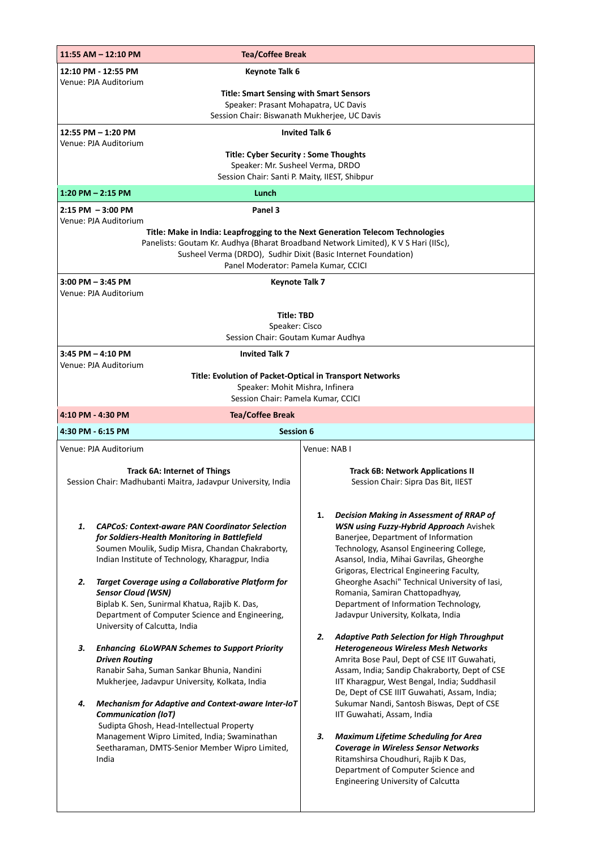| 11:55 AM - 12:10 PM<br><b>Tea/Coffee Break</b>                                                                                                                                                                                                                                                                                                                                                                                                                                                                                                                                                                                                                                                                                                                                                                                                                                               |                                                                                                                                                                                                                                                                                                                                                                                                                                                                                                                                                                                                                                                                                                                                                                                                                                                                                                                                                                                                                                                                        |  |
|----------------------------------------------------------------------------------------------------------------------------------------------------------------------------------------------------------------------------------------------------------------------------------------------------------------------------------------------------------------------------------------------------------------------------------------------------------------------------------------------------------------------------------------------------------------------------------------------------------------------------------------------------------------------------------------------------------------------------------------------------------------------------------------------------------------------------------------------------------------------------------------------|------------------------------------------------------------------------------------------------------------------------------------------------------------------------------------------------------------------------------------------------------------------------------------------------------------------------------------------------------------------------------------------------------------------------------------------------------------------------------------------------------------------------------------------------------------------------------------------------------------------------------------------------------------------------------------------------------------------------------------------------------------------------------------------------------------------------------------------------------------------------------------------------------------------------------------------------------------------------------------------------------------------------------------------------------------------------|--|
| 12:10 PM - 12:55 PM<br><b>Keynote Talk 6</b>                                                                                                                                                                                                                                                                                                                                                                                                                                                                                                                                                                                                                                                                                                                                                                                                                                                 |                                                                                                                                                                                                                                                                                                                                                                                                                                                                                                                                                                                                                                                                                                                                                                                                                                                                                                                                                                                                                                                                        |  |
| Venue: PJA Auditorium<br><b>Title: Smart Sensing with Smart Sensors</b><br>Speaker: Prasant Mohapatra, UC Davis<br>Session Chair: Biswanath Mukherjee, UC Davis                                                                                                                                                                                                                                                                                                                                                                                                                                                                                                                                                                                                                                                                                                                              |                                                                                                                                                                                                                                                                                                                                                                                                                                                                                                                                                                                                                                                                                                                                                                                                                                                                                                                                                                                                                                                                        |  |
| 12:55 PM - 1:20 PM                                                                                                                                                                                                                                                                                                                                                                                                                                                                                                                                                                                                                                                                                                                                                                                                                                                                           | <b>Invited Talk 6</b>                                                                                                                                                                                                                                                                                                                                                                                                                                                                                                                                                                                                                                                                                                                                                                                                                                                                                                                                                                                                                                                  |  |
| Venue: PJA Auditorium<br><b>Title: Cyber Security: Some Thoughts</b><br>Speaker: Mr. Susheel Verma, DRDO<br>Session Chair: Santi P. Maity, IIEST, Shibpur                                                                                                                                                                                                                                                                                                                                                                                                                                                                                                                                                                                                                                                                                                                                    |                                                                                                                                                                                                                                                                                                                                                                                                                                                                                                                                                                                                                                                                                                                                                                                                                                                                                                                                                                                                                                                                        |  |
| $1:20$ PM $- 2:15$ PM<br>Lunch                                                                                                                                                                                                                                                                                                                                                                                                                                                                                                                                                                                                                                                                                                                                                                                                                                                               |                                                                                                                                                                                                                                                                                                                                                                                                                                                                                                                                                                                                                                                                                                                                                                                                                                                                                                                                                                                                                                                                        |  |
| Panel 3<br>$2:15$ PM $-3:00$ PM<br>Venue: PJA Auditorium                                                                                                                                                                                                                                                                                                                                                                                                                                                                                                                                                                                                                                                                                                                                                                                                                                     |                                                                                                                                                                                                                                                                                                                                                                                                                                                                                                                                                                                                                                                                                                                                                                                                                                                                                                                                                                                                                                                                        |  |
| Title: Make in India: Leapfrogging to the Next Generation Telecom Technologies<br>Panelists: Goutam Kr. Audhya (Bharat Broadband Network Limited), K V S Hari (IISc),<br>Susheel Verma (DRDO), Sudhir Dixit (Basic Internet Foundation)<br>Panel Moderator: Pamela Kumar, CCICI                                                                                                                                                                                                                                                                                                                                                                                                                                                                                                                                                                                                              |                                                                                                                                                                                                                                                                                                                                                                                                                                                                                                                                                                                                                                                                                                                                                                                                                                                                                                                                                                                                                                                                        |  |
| $3:00$ PM $-3:45$ PM<br><b>Keynote Talk 7</b><br>Venue: PJA Auditorium                                                                                                                                                                                                                                                                                                                                                                                                                                                                                                                                                                                                                                                                                                                                                                                                                       |                                                                                                                                                                                                                                                                                                                                                                                                                                                                                                                                                                                                                                                                                                                                                                                                                                                                                                                                                                                                                                                                        |  |
| <b>Title: TBD</b>                                                                                                                                                                                                                                                                                                                                                                                                                                                                                                                                                                                                                                                                                                                                                                                                                                                                            |                                                                                                                                                                                                                                                                                                                                                                                                                                                                                                                                                                                                                                                                                                                                                                                                                                                                                                                                                                                                                                                                        |  |
| Speaker: Cisco<br>Session Chair: Goutam Kumar Audhya                                                                                                                                                                                                                                                                                                                                                                                                                                                                                                                                                                                                                                                                                                                                                                                                                                         |                                                                                                                                                                                                                                                                                                                                                                                                                                                                                                                                                                                                                                                                                                                                                                                                                                                                                                                                                                                                                                                                        |  |
| $3:45$ PM $-$ 4:10 PM<br><b>Invited Talk 7</b>                                                                                                                                                                                                                                                                                                                                                                                                                                                                                                                                                                                                                                                                                                                                                                                                                                               |                                                                                                                                                                                                                                                                                                                                                                                                                                                                                                                                                                                                                                                                                                                                                                                                                                                                                                                                                                                                                                                                        |  |
| Venue: PJA Auditorium<br>Title: Evolution of Packet-Optical in Transport Networks<br>Speaker: Mohit Mishra, Infinera                                                                                                                                                                                                                                                                                                                                                                                                                                                                                                                                                                                                                                                                                                                                                                         |                                                                                                                                                                                                                                                                                                                                                                                                                                                                                                                                                                                                                                                                                                                                                                                                                                                                                                                                                                                                                                                                        |  |
| Session Chair: Pamela Kumar, CCICI                                                                                                                                                                                                                                                                                                                                                                                                                                                                                                                                                                                                                                                                                                                                                                                                                                                           |                                                                                                                                                                                                                                                                                                                                                                                                                                                                                                                                                                                                                                                                                                                                                                                                                                                                                                                                                                                                                                                                        |  |
| <b>Tea/Coffee Break</b><br>4:10 PM - 4:30 PM<br>4:30 PM - 6:15 PM<br><b>Session 6</b>                                                                                                                                                                                                                                                                                                                                                                                                                                                                                                                                                                                                                                                                                                                                                                                                        |                                                                                                                                                                                                                                                                                                                                                                                                                                                                                                                                                                                                                                                                                                                                                                                                                                                                                                                                                                                                                                                                        |  |
| Venue: PJA Auditorium                                                                                                                                                                                                                                                                                                                                                                                                                                                                                                                                                                                                                                                                                                                                                                                                                                                                        | Venue: NAB I                                                                                                                                                                                                                                                                                                                                                                                                                                                                                                                                                                                                                                                                                                                                                                                                                                                                                                                                                                                                                                                           |  |
| <b>Track 6A: Internet of Things</b><br>Session Chair: Madhubanti Maitra, Jadavpur University, India                                                                                                                                                                                                                                                                                                                                                                                                                                                                                                                                                                                                                                                                                                                                                                                          | <b>Track 6B: Network Applications II</b><br>Session Chair: Sipra Das Bit, IIEST                                                                                                                                                                                                                                                                                                                                                                                                                                                                                                                                                                                                                                                                                                                                                                                                                                                                                                                                                                                        |  |
| <b>CAPCoS: Context-aware PAN Coordinator Selection</b><br>1.<br>for Soldiers-Health Monitoring in Battlefield<br>Soumen Moulik, Sudip Misra, Chandan Chakraborty,<br>Indian Institute of Technology, Kharagpur, India<br>Target Coverage using a Collaborative Platform for<br>2.<br><b>Sensor Cloud (WSN)</b><br>Biplab K. Sen, Sunirmal Khatua, Rajib K. Das,<br>Department of Computer Science and Engineering,<br>University of Calcutta, India<br><b>Enhancing 6LoWPAN Schemes to Support Priority</b><br>З.<br><b>Driven Routing</b><br>Ranabir Saha, Suman Sankar Bhunia, Nandini<br>Mukherjee, Jadavpur University, Kolkata, India<br>Mechanism for Adaptive and Context-aware Inter-IoT<br>4.<br><b>Communication (IoT)</b><br>Sudipta Ghosh, Head-Intellectual Property<br>Management Wipro Limited, India; Swaminathan<br>Seetharaman, DMTS-Senior Member Wipro Limited,<br>India | 1.<br>Decision Making in Assessment of RRAP of<br><b>WSN using Fuzzy-Hybrid Approach Avishek</b><br>Banerjee, Department of Information<br>Technology, Asansol Engineering College,<br>Asansol, India, Mihai Gavrilas, Gheorghe<br>Grigoras, Electrical Engineering Faculty,<br>Gheorghe Asachi" Technical University of Iasi,<br>Romania, Samiran Chattopadhyay,<br>Department of Information Technology,<br>Jadavpur University, Kolkata, India<br>2.<br><b>Adaptive Path Selection for High Throughput</b><br><b>Heterogeneous Wireless Mesh Networks</b><br>Amrita Bose Paul, Dept of CSE IIT Guwahati,<br>Assam, India; Sandip Chakraborty, Dept of CSE<br>IIT Kharagpur, West Bengal, India; Suddhasil<br>De, Dept of CSE IIIT Guwahati, Assam, India;<br>Sukumar Nandi, Santosh Biswas, Dept of CSE<br>IIT Guwahati, Assam, India<br>З.<br><b>Maximum Lifetime Scheduling for Area</b><br><b>Coverage in Wireless Sensor Networks</b><br>Ritamshirsa Choudhuri, Rajib K Das,<br>Department of Computer Science and<br><b>Engineering University of Calcutta</b> |  |